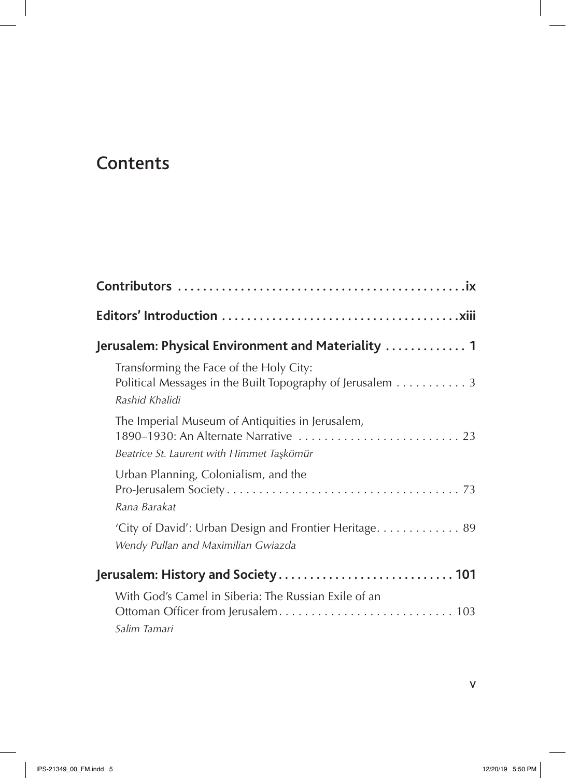## Contents

 $\overline{\phantom{a}}$ 

| Jerusalem: Physical Environment and Materiality  1                                                                                     |  |  |
|----------------------------------------------------------------------------------------------------------------------------------------|--|--|
| Transforming the Face of the Holy City:<br>Political Messages in the Built Topography of Jerusalem 3<br>Rashid Khalidi                 |  |  |
| The Imperial Museum of Antiquities in Jerusalem,<br>1890-1930: An Alternate Narrative  23<br>Beatrice St. Laurent with Himmet Taşkömür |  |  |
| Urban Planning, Colonialism, and the<br>Rana Barakat                                                                                   |  |  |
| 'City of David': Urban Design and Frontier Heritage 89<br>Wendy Pullan and Maximilian Gwiazda                                          |  |  |
|                                                                                                                                        |  |  |
| With God's Camel in Siberia: The Russian Exile of an<br>Salim Tamari                                                                   |  |  |

 $\mathsf{V}$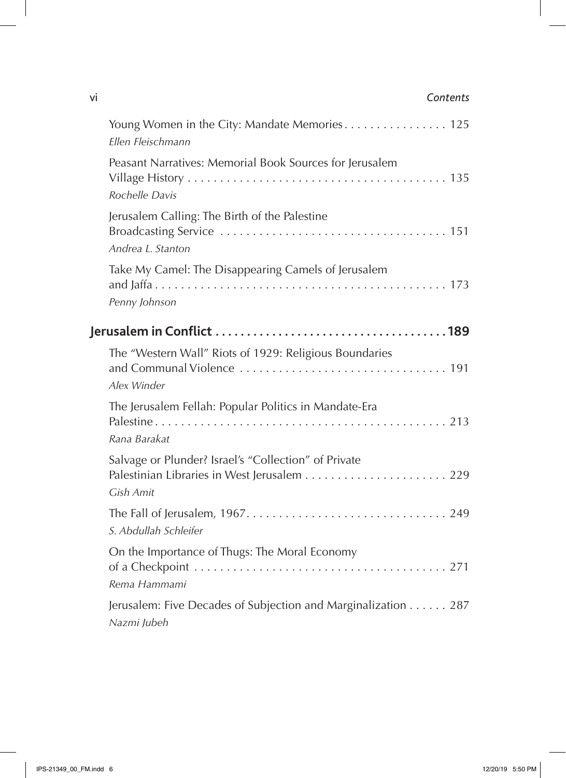## vi *Contents*

| Young Women in the City: Mandate Memories 125<br>Ellen Fleischmann           |
|------------------------------------------------------------------------------|
| Peasant Narratives: Memorial Book Sources for Jerusalem<br>Rochelle Davis    |
| Jerusalem Calling: The Birth of the Palestine<br>Andrea L. Stanton           |
| Take My Camel: The Disappearing Camels of Jerusalem<br>Penny Johnson         |
|                                                                              |
| The "Western Wall" Riots of 1929: Religious Boundaries<br>Alex Winder        |
| The Jerusalem Fellah: Popular Politics in Mandate-Era<br>Rana Barakat        |
| Salvage or Plunder? Israel's "Collection" of Private<br>Gish Amit            |
| S. Abdullah Schleifer                                                        |
| On the Importance of Thugs: The Moral Economy<br>Rema Hammami                |
| Jerusalem: Five Decades of Subjection and Marginalization 287<br>Nazmi Jubeh |

 $\overline{\phantom{a}}$